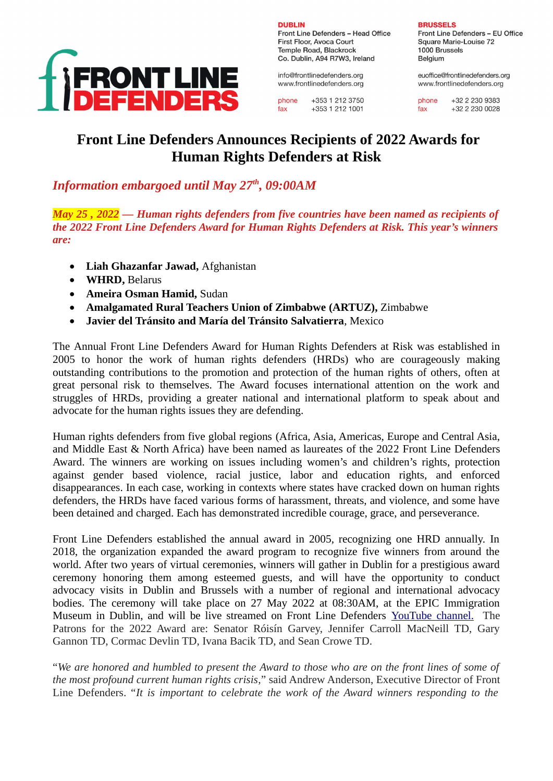

**DURLIN** Front Line Defenders - Head Office First Floor, Avoca Court Temple Road, Blackrock Co. Dublin, A94 R7W3, Ireland

info@frontlinedefenders.org www.frontlinedefenders.org

phone  $+353$  1 212 3750 +353 1 212 1001 fax

#### **BRUSSELS**

Front Line Defenders - EU Office Square Marie-Louise 72 1000 Brussels Belaium

euoffice@frontlinedefenders.org www.frontlinedefenders.org

+32 2 230 9383 phone +32 2 230 0028 fax

# **Front Line Defenders Announces Recipients of 2022 Awards for Human Rights Defenders at Risk**

# *Information embargoed until May 27th, 09:00AM*

*May 25 , 2022 — Human rights defenders from five countries have been named as recipients of the 2022 Front Line Defenders Award for Human Rights Defenders at Risk. This year's winners are:*

- **Liah Ghazanfar Jawad,** Afghanistan
- **WHRD,** Belarus
- **Ameira Osman Hamid,** Sudan
- **Amalgamated Rural Teachers Union of Zimbabwe (ARTUZ),** Zimbabwe
- **Javier del Tránsito and María del Tránsito Salvatierra**, Mexico

The Annual Front Line Defenders Award for Human Rights Defenders at Risk was established in 2005 to honor the work of human rights defenders (HRDs) who are courageously making outstanding contributions to the promotion and protection of the human rights of others, often at great personal risk to themselves. The Award focuses international attention on the work and struggles of HRDs, providing a greater national and international platform to speak about and advocate for the human rights issues they are defending.

Human rights defenders from five global regions (Africa, Asia, Americas, Europe and Central Asia, and Middle East & North Africa) have been named as laureates of the 2022 Front Line Defenders Award. The winners are working on issues including women's and children's rights, protection against gender based violence, racial justice, labor and education rights, and enforced disappearances. In each case, working in contexts where states have cracked down on human rights defenders, the HRDs have faced various forms of harassment, threats, and violence, and some have been detained and charged. Each has demonstrated incredible courage, grace, and perseverance.

Front Line Defenders established the annual award in 2005, recognizing one HRD annually. In 2018, the organization expanded the award program to recognize five winners from around the world. After two years of virtual ceremonies, winners will gather in Dublin for a prestigious award ceremony honoring them among esteemed guests, and will have the opportunity to conduct advocacy visits in Dublin and Brussels with a number of regional and international advocacy bodies. The ceremony will take place on 27 May 2022 at 08:30AM, at the EPIC Immigration Museum in Dublin, and will be live streamed on Front Line Defenders [YouTube channel.](https://www.youtube.com/c/FrontLineDefenders) The Patrons for the 2022 Award are: Senator Róisín Garvey, Jennifer Carroll MacNeill TD, Gary Gannon TD, Cormac Devlin TD, Ivana Bacik TD, and Sean Crowe TD.

"*We are honored and humbled to present the Award to those who are on the front lines of some of the most profound current human rights crisis,*" said Andrew Anderson, Executive Director of Front Line Defenders. "*It is important to celebrate the work of the Award winners responding to the*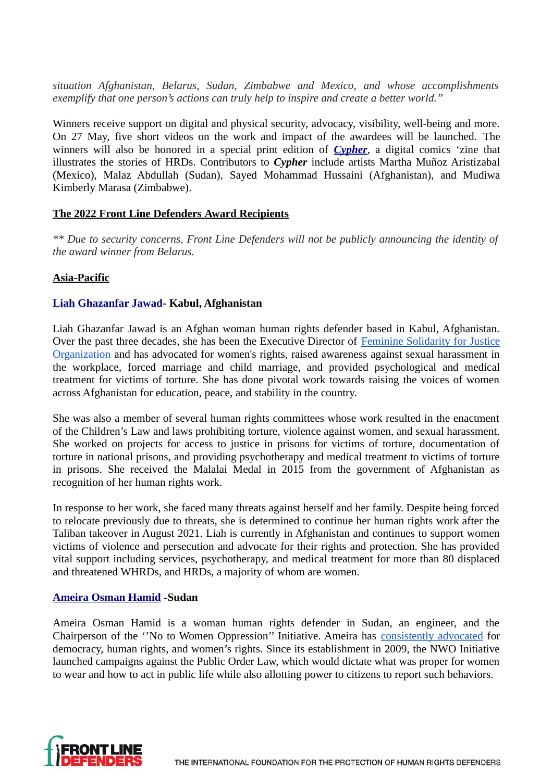*situation Afghanistan, Belarus, Sudan, Zimbabwe and Mexico, and whose accomplishments exemplify that one person's actions can truly help to inspire and create a better world."*

Winners receive support on digital and physical security, advocacy, visibility, well-being and more. On 27 May, five short videos on the work and impact of the awardees will be launched. The winners will also be honored in a special print edition of *[Cypher](http://www.frontlinedefenders.org/cypher)*, a digital comics 'zine that illustrates the stories of HRDs. Contributors to *Cypher* include artists Martha Muñoz Aristizabal (Mexico), Malaz Abdullah (Sudan), Sayed Mohammad Hussaini (Afghanistan), and Mudiwa Kimberly Marasa (Zimbabwe).

#### **The 2022 Front Line Defenders Award Recipients**

*\*\* Due to security concerns, Front Line Defenders will not be publicly announcing the identity of the award winner from Belarus.*

# **Asia-Pacific**

#### **[Liah Ghazanfar Jawad](https://www.frontlinedefenders.org/en/profile/liah-ghazanfar-jawad)- Kabul, Afghanistan**

Liah Ghazanfar Jawad is an Afghan woman human rights defender based in Kabul, Afghanistan. Over the past three decades, she has been the Executive Director of Feminine Solidarity for Justice Organization and has advocated for women's rights, raised awareness against sexual harassment in the workplace, forced marriage and child marriage, and provided psychological and medical treatment for victims of torture. She has done pivotal work towards raising the voices of women across Afghanistan for education, peace, and stability in the country.

She was also a member of several human rights committees whose work resulted in the enactment of the Children's Law and laws prohibiting torture, violence against women, and sexual harassment. She worked on projects for access to justice in prisons for victims of torture, documentation of torture in national prisons, and providing psychotherapy and medical treatment to victims of torture in prisons. She received the Malalai Medal in 2015 from the government of Afghanistan as recognition of her human rights work.

In response to her work, she faced many threats against herself and her family. Despite being forced to relocate previously due to threats, she is determined to continue her human rights work after the Taliban takeover in August 2021. Liah is currently in Afghanistan and continues to support women victims of violence and persecution and advocate for their rights and protection. She has provided vital support including services, psychotherapy, and medical treatment for more than 80 displaced and threatened WHRDs, and HRDs, a majority of whom are women.

#### **[Ameira Osman Hamid](https://www.frontlinedefenders.org/en/profile/ameira-osman) -Sudan**

Ameira Osman Hamid is a woman human rights defender in Sudan, an engineer, and the Chairperson of the ''No to Women Oppression'' Initiative. Ameira has consistently advocated for democracy, human rights, and women's rights. Since its establishment in 2009, the NWO Initiative launched campaigns against the Public Order Law, which would dictate what was proper for women to wear and how to act in public life while also allotting power to citizens to report such behaviors.

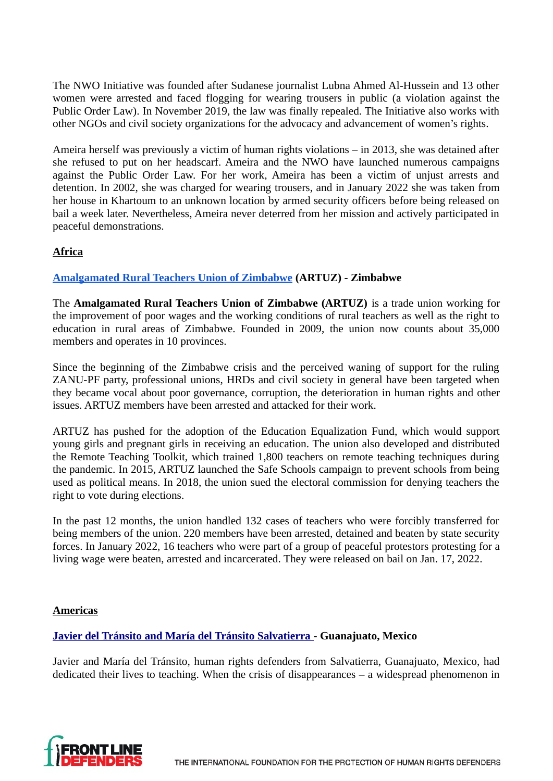The NWO Initiative was founded after Sudanese journalist Lubna Ahmed Al-Hussein and 13 other women were arrested and faced flogging for wearing trousers in public (a violation against the Public Order Law). In November 2019, the law was finally repealed. The Initiative also works with other NGOs and civil society organizations for the advocacy and advancement of women's rights.

Ameira herself was previously a victim of human rights violations – in 2013, she was detained after she refused to put on her headscarf. Ameira and the NWO have launched numerous campaigns against the Public Order Law. For her work, Ameira has been a victim of unjust arrests and detention. In 2002, she was charged for wearing trousers, and in January 2022 she was taken from her house in Khartoum to an unknown location by armed security officers before being released on bail a week later. Nevertheless, Ameira never deterred from her mission and actively participated in peaceful demonstrations.

# **Africa**

# **Amalgamated Rural Teachers Union of Zimbabwe (ARTUZ) - Zimbabwe**

The **Amalgamated Rural Teachers Union of Zimbabwe (ARTUZ)** is a trade union working for the improvement of poor wages and the working conditions of rural teachers as well as the right to education in rural areas of Zimbabwe. Founded in 2009, the union now counts about 35,000 members and operates in 10 provinces.

Since the beginning of the Zimbabwe crisis and the perceived waning of support for the ruling ZANU-PF party, professional unions, HRDs and civil society in general have been targeted when they became vocal about poor governance, corruption, the deterioration in human rights and other issues. ARTUZ members have been arrested and attacked for their work.

ARTUZ has pushed for the adoption of the Education Equalization Fund, which would support young girls and pregnant girls in receiving an education. The union also developed and distributed the Remote Teaching Toolkit, which trained 1,800 teachers on remote teaching techniques during the pandemic. In 2015, ARTUZ launched the Safe Schools campaign to prevent schools from being used as political means. In 2018, the union sued the electoral commission for denying teachers the right to vote during elections.

In the past 12 months, the union handled 132 cases of teachers who were forcibly transferred for being members of the union. 220 members have been arrested, detained and beaten by state security forces. In January 2022, 16 teachers who were part of a group of peaceful protestors protesting for a living wage were beaten, arrested and incarcerated. They were released on bail on Jan. 17, 2022.

# **Americas**

# **[Javier del Tránsito and María del Tránsito Salvatierra -](https://www.frontlinedefenders.org/en/profile/javier-and-maria-del-transito) Guanajuato, Mexico**

Javier and María del Tránsito, human rights defenders from Salvatierra, Guanajuato, Mexico, had dedicated their lives to teaching. When the crisis of disappearances – a widespread phenomenon in